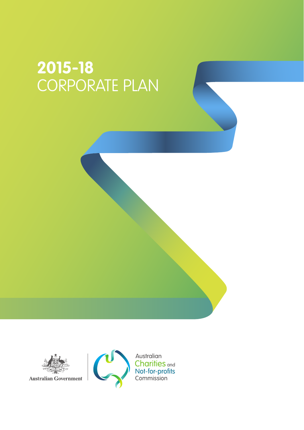# **2015-18** CORPORATE PLAN



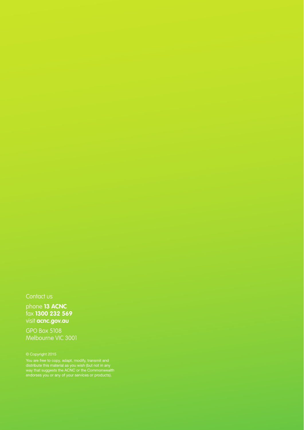### Contact us

phone **13 ACNC** fax **1300 232 569** visit **acnc.gov.au**

GPO Box 5108 Melbourne VIC 3001

You are free to copy, adapt, modify, transmit and way that suggests the ACNC or the Commonwealth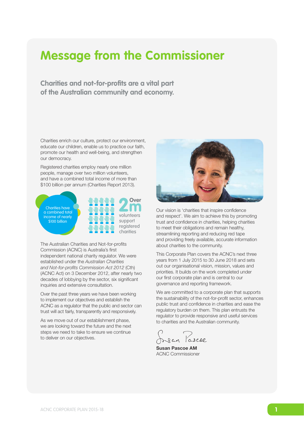# **Message from the Commissioner**

**Charities and not-for-profits are a vital part of the Australian community and economy.** 

Charities enrich our culture, protect our environment, educate our children, enable us to practice our faith, promote our health and well-being, and strengthen our democracy.

Registered charities employ nearly one million people, manage over two million volunteers, and have a combined total income of more than \$100 billion per annum (Charities Report 2013).



The Australian Charities and Not-for-profits Commission (ACNC) is Australia's first independent national charity regulator. We were established under the *Australian Charities and Not-for-profits Commission Act 2012* (Cth) (ACNC Act) on 3 December 2012, after nearly two decades of lobbying by the sector, six significant inquiries and extensive consultation.

Over the past three years we have been working to implement our objectives and establish the ACNC as a regulator that the public and sector can trust will act fairly, transparently and responsively.

As we move out of our establishment phase, we are looking toward the future and the next steps we need to take to ensure we continue to deliver on our objectives.



Our vision is 'charities that inspire confidence and respect'. We aim to achieve this by promoting trust and confidence in charities, helping charities to meet their obligations and remain healthy, streamlining reporting and reducing red tape and providing freely available, accurate information about charities to the community.

This Corporate Plan covers the ACNC's next three years from 1 July 2015 to 30 June 2018 and sets out our organisational vision, mission, values and priorities. It builds on the work completed under our first corporate plan and is central to our governance and reporting framework.

We are committed to a corporate plan that supports the sustainability of the not-for-profit sector, enhances public trust and confidence in charities and ease the regulatory burden on them. This plan entrusts the regulator to provide responsive and useful services to charities and the Australian community.

Josan Pascoe

Susan Pascoe AM ACNC Commissioner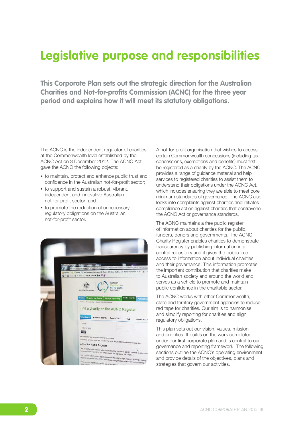# **Legislative purpose and responsibilities**

**This Corporate Plan sets out the strategic direction for the Australian Charities and Not-for-profits Commission (ACNC) for the three year period and explains how it will meet its statutory obligations.**

The ACNC is the independent regulator of charities at the Commonwealth level established by the ACNC Act on 3 December 2012. The ACNC Act gave the ACNC the following objects:

- to maintain, protect and enhance public trust and confidence in the Australian not-for-profit sector;
- to support and sustain a robust, vibrant, independent and innovative Australian not-for-profit sector; and
- to promote the reduction of unnecessary regulatory obligations on the Australian not-for-profit sector.



A not-for-profit organisation that wishes to access certain Commonwealth concessions (including tax concessions, exemptions and benefits) must first be registered as a charity by the ACNC. The ACNC provides a range of guidance material and help services to registered charities to assist them to understand their obligations under the ACNC Act, which includes ensuring they are able to meet core minimum standards of governance. The ACNC also looks into complaints against charities and initiates compliance action against charities that contravene the ACNC Act or governance standards.

The ACNC maintains a free public register of information about charities for the public, funders, donors and governments. The ACNC Charity Register enables charities to demonstrate transparency by publishing information in a central repository and it gives the public free access to information about individual charities and their governance. This information promotes the important contribution that charities make to Australian society and around the world and serves as a vehicle to promote and maintain public confidence in the charitable sector.

The ACNC works with other Commonwealth, state and territory government agencies to reduce red tape for charities. Our aim is to harmonise and simplify reporting for charities and align regulatory obligations.

This plan sets out our vision, values, mission and priorities. It builds on the work completed under our first corporate plan and is central to our governance and reporting framework. The following sections outline the ACNC's operating environment and provide details of the objectives, plans and strategies that govern our activities.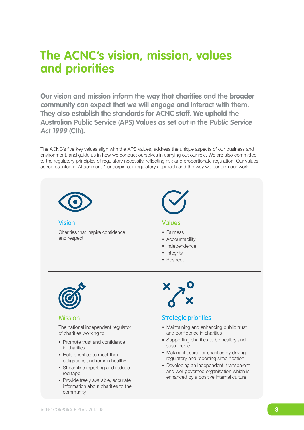# **The ACNC's vision, mission, values and priorities**

**Our vision and mission inform the way that charities and the broader community can expect that we will engage and interact with them. They also establish the standards for ACNC staff. We uphold the Australian Public Service (APS) Values as set out in the Public Service Act 1999 (Cth).**

as represented in Attachment 1 underpin our regulatory approach and the way we perform our work. The ACNC's five key values align with the APS values, address the unique aspects of our business and environment, and guide us in how we conduct ourselves in carrying out our role. We are also committed to the regulatory principles of regulatory necessity, reflecting risk and proportionate regulation. Our values

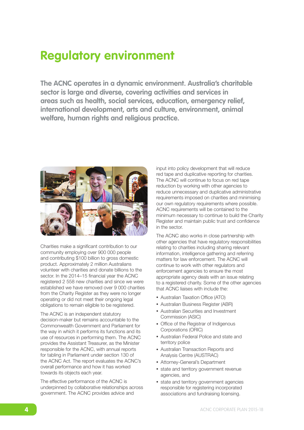# **Regulatory environment**

**The ACNC operates in a dynamic environment. Australia's charitable sector is large and diverse, covering activities and services in areas such as health, social services, education, emergency relief, international development, arts and culture, environment, animal welfare, human rights and religious practice.**



Charities make a significant contribution to our community employing over 900 000 people and contributing \$100 billion to gross domestic product. Approximately 2 million Australians volunteer with charities and donate billions to the sector. In the 2014–15 financial year the ACNC registered 2 558 new charities and since we were established we have removed over 9 000 charities from the Charity Register as they were no longer operating or did not meet their ongoing legal obligations to remain eligible to be registered.

The ACNC is an independent statutory decision-maker but remains accountable to the Commonwealth Government and Parliament for the way in which it performs its functions and its use of resources in performing them. The ACNC provides the Assistant Treasurer, as the Minister responsible for the ACNC, with annual reports for tabling in Parliament under section 130 of the ACNC Act. The report evaluates the ACNC's overall performance and how it has worked towards its objects each year.

The effective performance of the ACNC is underpinned by collaborative relationships across government. The ACNC provides advice and

input into policy development that will reduce red tape and duplicative reporting for charities. The ACNC will continue to focus on red tape reduction by working with other agencies to reduce unnecessary and duplicative administrative requirements imposed on charities and minimising our own regulatory requirements where possible. ACNC requirements will be contained to the minimum necessary to continue to build the Charity Register and maintain public trust and confidence in the sector.

The ACNC also works in close partnership with other agencies that have regulatory responsibilities relating to charities including sharing relevant information, intelligence gathering and referring matters for law enforcement. The ACNC will continue to work with other regulators and enforcement agencies to ensure the most appropriate agency deals with an issue relating to a registered charity. Some of the other agencies that ACNC liaises with include the:

- Australian Taxation Office (ATO)
- Australian Business Register (ABR)
- Australian Securities and Investment Commission (ASIC)
- Office of the Registrar of Indigenous Corporations (ORIC)
- Australian Federal Police and state and territory police
- Australian Transaction Reports and Analysis Centre (AUSTRAC)
- Attorney-General's Department
- state and territory government revenue agencies, and
- state and territory government agencies responsible for registering incorporated associations and fundraising licensing.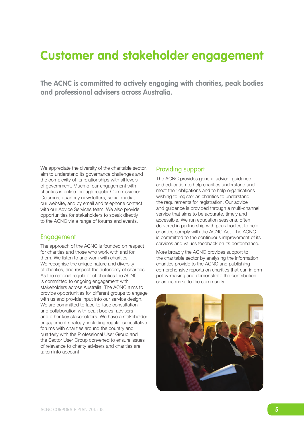# **Customer and stakeholder engagement**

**The ACNC is committed to actively engaging with charities, peak bodies and professional advisers across Australia.** 

We appreciate the diversity of the charitable sector, aim to understand its governance challenges and the complexity of its relationships with all levels of government. Much of our engagement with charities is online through regular Commissioner Columns, quarterly newsletters, social media, our website, and by email and telephone contact with our Advice Services team. We also provide opportunities for stakeholders to speak directly to the ACNC via a range of forums and events.

### Engagement

The approach of the ACNC is founded on respect for charities and those who work with and for them. We listen to and work with charities. We recognise the unique nature and diversity of charities, and respect the autonomy of charities. As the national regulator of charities the ACNC is committed to ongoing engagement with stakeholders across Australia. The ACNC aims to provide opportunities for different groups to engage with us and provide input into our service design. We are committed to face-to-face consultation and collaboration with peak bodies, advisers and other key stakeholders. We have a stakeholder engagement strategy, including regular consultative forums with charities around the country and quarterly with the Professional User Group and the Sector User Group convened to ensure issues of relevance to charity advisers and charities are taken into account.

### Providing support

The ACNC provides general advice, guidance and education to help charities understand and meet their obligations and to help organisations wishing to register as charities to understand the requirements for registration. Our advice and guidance is provided through a multi-channel service that aims to be accurate, timely and accessible. We run education sessions, often delivered in partnership with peak bodies, to help charities comply with the ACNC Act. The ACNC is committed to the continuous improvement of its services and values feedback on its performance.

More broadly the ACNC provides support to the charitable sector by analysing the information charities provide to the ACNC and publishing comprehensive reports on charities that can inform policy-making and demonstrate the contribution charities make to the community.

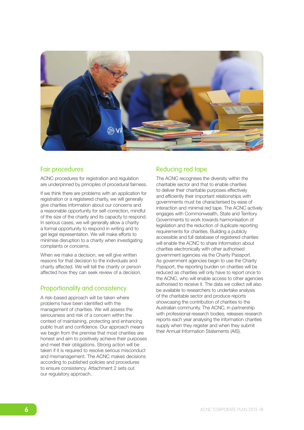

### Fair procedures

ACNC procedures for registration and regulation are underpinned by principles of procedural fairness.

If we think there are problems with an application for registration or a registered charity, we will generally give charities information about our concerns and a reasonable opportunity for self-correction, mindful of the size of the charity and its capacity to respond. In serious cases, we will generally allow a charity a formal opportunity to respond in writing and to get legal representation. We will make efforts to minimise disruption to a charity when investigating complaints or concerns.

When we make a decision, we will give written reasons for that decision to the individuals and charity affected. We will tell the charity or person affected how they can seek review of a decision.

### Proportionality and consistency

A risk-based approach will be taken where problems have been identified with the management of charities. We will assess the seriousness and risk of a concern within the context of maintaining, protecting and enhancing public trust and confidence. Our approach means we begin from the premise that most charities are honest and aim to positively achieve their purposes and meet their obligations. Strong action will be taken if it is required to resolve serious misconduct and mismanagement. The ACNC makes decisions according to published policies and procedures to ensure consistency. Attachment 2 sets out our regulatory approach.

# Reducing red tape

The ACNC recognises the diversity within the charitable sector and that to enable charities to deliver their charitable purposes effectively and efficiently their important relationships with governments must be characterised by ease of interaction and minimal red tape. The ACNC actively engages with Commonwealth, State and Territory Governments to work towards harmonisation of legislation and the reduction of duplicate reporting requirements for charities. Building a publicly accessible and full database of registered charities will enable the ACNC to share information about charities electronically with other authorised government agencies via the Charity Passport. As government agencies begin to use the Charity Passport, the reporting burden on charities will be reduced as charities will only have to report once to the ACNC, who will enable access to other agencies authorised to receive it. The data we collect will also be available to researchers to undertake analysis of the charitable sector and produce reports showcasing the contribution of charities to the Australian community. The ACNC, in partnership with professional research bodies, releases research reports each year analysing the information charities supply when they register and when they submit their Annual Information Statements (AIS).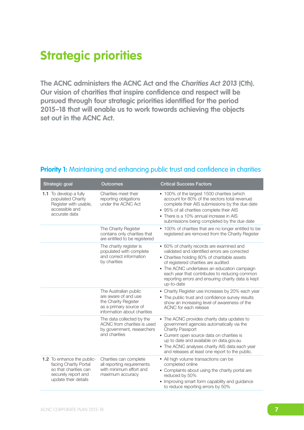# **Strategic priorities**

**The ACNC administers the ACNC Act and the Charities Act 2013 (Cth). Our vision of charities that inspire confidence and respect will be pursued through four strategic priorities identified for the period 2015–18 that will enable us to work towards achieving the objects set out in the ACNC Act.**

| Strategic goal                                                                                                              | <b>Outcomes</b>                                                                                                                | <b>Critical Success Factors</b>                                                                                                                                                                                                                                                                                                                       |
|-----------------------------------------------------------------------------------------------------------------------------|--------------------------------------------------------------------------------------------------------------------------------|-------------------------------------------------------------------------------------------------------------------------------------------------------------------------------------------------------------------------------------------------------------------------------------------------------------------------------------------------------|
| 1.1 To develop a fully<br>populated Charity<br>Register with usable,<br>accessible and<br>accurate data                     | Charities meet their<br>reporting obligations<br>under the ACNC Act                                                            | • 100% of the largest 1500 charities (which<br>account for 80% of the sectors total revenue)<br>complete their AIS submissions by the due date<br>• 95% of all charities complete their AIS<br>• There is a 10% annual increase in AIS<br>submissions being completed by the due date                                                                 |
|                                                                                                                             | The Charity Register<br>contains only charities that<br>are entitled to be registered                                          | • 100% of charities that are no longer entitled to be<br>registered are removed from the Charity Register                                                                                                                                                                                                                                             |
|                                                                                                                             | The charity register is<br>populated with complete<br>and correct information<br>by charities                                  | • 60% of charity records are examined and<br>validated and identified errors are corrected<br>• Charities holding 80% of charitable assets<br>of registered charities are audited<br>• The ACNC undertakes an education campaign<br>each year that contributes to reducing common<br>reporting errors and ensuring charity data is kept<br>up-to-date |
|                                                                                                                             | The Australian public<br>are aware of and use<br>the Charity Register<br>as a primary source of<br>information about charities | • Charity Register use increases by 20% each year<br>• The public trust and confidence survey results<br>show an increasing level of awareness of the<br>ACNC for each release                                                                                                                                                                        |
|                                                                                                                             | The data collected by the<br>ACNC from charities is used<br>by government, researchers<br>and charities                        | • The ACNC provides charity data updates to<br>government agencies automatically via the<br><b>Charity Passport</b><br>• Current open source data on charities is<br>up to date and available on data.gov.au<br>• The ACNC analyses charity AIS data each year<br>and releases at least one report to the public.                                     |
| 1.2 To enhance the public-<br>facing Charity Portal<br>so that charities can<br>securely report and<br>update their details | Charities can complete<br>all reporting requirements<br>with minimum effort and<br>maximum accuracy                            | • All high volume transactions can be<br>completed online<br>• Complaints about using the charity portal are<br>reduced by 50%<br>• Improving smart form capability and guidance<br>to reduce reporting errors by 50%                                                                                                                                 |

### **Priority 1:** Maintaining and enhancing public trust and confidence in charities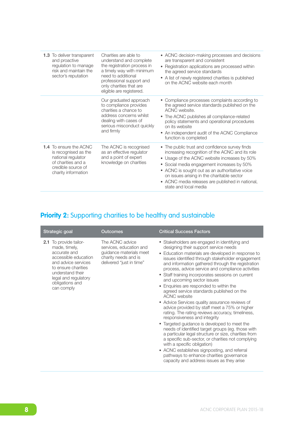| <b>1.3</b> To deliver transparent<br>and proactive<br>regulation to manage<br>risk and maintain the<br>sector's reputation                     | Charities are able to<br>understand and complete<br>the registration process in<br>a timely way with minimum<br>need to additional<br>professional support and<br>only charities that are<br>eligible are registered. | • ACNC decision-making processes and decisions<br>are transparent and consistent<br>• Registration applications are processed within<br>the agreed service standards<br>• A list of newly registered charities is published<br>on the ACNC website each month                                                                                                                |
|------------------------------------------------------------------------------------------------------------------------------------------------|-----------------------------------------------------------------------------------------------------------------------------------------------------------------------------------------------------------------------|------------------------------------------------------------------------------------------------------------------------------------------------------------------------------------------------------------------------------------------------------------------------------------------------------------------------------------------------------------------------------|
|                                                                                                                                                | Our graduated approach<br>to compliance provides<br>charities a chance to<br>address concerns whilst<br>dealing with cases of<br>serious misconduct quickly<br>and firmly                                             | • Compliance processes complaints according to<br>the agreed service standards published on the<br>ACNC website.<br>• The ACNC publishes all compliance-related<br>policy statements and operational procedures<br>on its website<br>• An independent audit of the ACNC Compliance<br>function is completed                                                                  |
| <b>1.4</b> To ensure the ACNC<br>is recognised as the<br>national regulator<br>of charities and a<br>credible source of<br>charity information | The ACNC is recognised<br>as an effective regulator<br>and a point of expert<br>knowledge on charities                                                                                                                | • The public trust and confidence survey finds<br>increasing recognition of the ACNC and its role<br>• Usage of the ACNC website increases by 50%<br>• Social media engagement increases by 50%<br>• ACNC is sought out as an authoritative voice<br>on issues arising in the charitable sector<br>• ACNC media releases are published in national,<br>state and local media |

# **Priority 2:** Supporting charities to be healthy and sustainable

| Strategic goal                                                                                                                                                                                                    | Outcomes                                                                                                                  | <b>Critical Success Factors</b>                                                                                                                                                                                                                                                                                                                                                                                                                                                                                                                                                                                                                                                                                                                                                                                                                                                                                                                                                                                                                                                               |
|-------------------------------------------------------------------------------------------------------------------------------------------------------------------------------------------------------------------|---------------------------------------------------------------------------------------------------------------------------|-----------------------------------------------------------------------------------------------------------------------------------------------------------------------------------------------------------------------------------------------------------------------------------------------------------------------------------------------------------------------------------------------------------------------------------------------------------------------------------------------------------------------------------------------------------------------------------------------------------------------------------------------------------------------------------------------------------------------------------------------------------------------------------------------------------------------------------------------------------------------------------------------------------------------------------------------------------------------------------------------------------------------------------------------------------------------------------------------|
| <b>2.1</b> To provide tailor-<br>made, timely,<br>accurate and<br>accessible education<br>and advice services<br>to ensure charities<br>understand their<br>legal and regulatory<br>obligations and<br>can comply | The ACNC advice<br>services, education and<br>quidance materials meet<br>charity needs and is<br>delivered "just in time" | • Stakeholders are engaged in identifying and<br>designing their support service needs<br>• Education materials are developed in response to<br>issues identified through stakeholder engagement<br>and information gathered through the registration<br>process, advice service and compliance activities<br>• Staff training incorporates sessions on current<br>and upcoming sector issues<br>• Enquiries are responded to within the<br>agreed service standards published on the<br><b>ACNC</b> website<br>• Advice Services quality assurance reviews of<br>advice provided by staff meet a 75% or higher<br>rating. The rating reviews accuracy, timeliness,<br>responsiveness and integrity<br>• Targeted guidance is developed to meet the<br>needs of identified target groups (eg. those with<br>a particular legal structure or size, charities from<br>a specific sub-sector, or charities not complying<br>with a specific obligation)<br>• ACNC establishes signposting, and referral<br>pathways to enhance charities governance<br>capacity and address issues as they arise |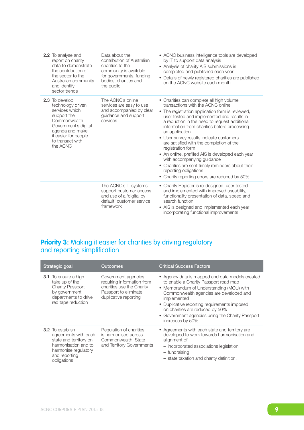| <b>2.2</b> To analyse and<br>report on charity<br>data to demonstrate<br>the contribution of<br>the sector to the<br>Australian community<br>and identify<br>sector trends              | Data about the<br>contribution of Australian<br>charities to the<br>community is available<br>for governments, funding<br>bodies, charities and<br>the public | • ACNC business intelligence tools are developed<br>by IT to support data analysis<br>• Analysis of charity AIS submissions is<br>completed and published each year<br>• Details of newly registered charities are published<br>on the ACNC website each month                                                                                                                                                                                                                                                                                                                                                                    |
|-----------------------------------------------------------------------------------------------------------------------------------------------------------------------------------------|---------------------------------------------------------------------------------------------------------------------------------------------------------------|-----------------------------------------------------------------------------------------------------------------------------------------------------------------------------------------------------------------------------------------------------------------------------------------------------------------------------------------------------------------------------------------------------------------------------------------------------------------------------------------------------------------------------------------------------------------------------------------------------------------------------------|
| 2.3 To develop<br>technology driven<br>services which<br>support the<br>Commonwealth<br>Government's digital<br>agenda and make<br>it easier for people<br>to transact with<br>the ACNC | The ACNC's online<br>services are easy to use<br>and accompanied by clear<br>guidance and support<br>services                                                 | • Charities can complete all high volume<br>transactions with the ACNC online<br>• The registration application form is reviewed,<br>user tested and implemented and results in<br>a reduction in the need to request additional<br>information from charities before processing<br>an application<br>• User survey results indicate customers<br>are satisfied with the completion of the<br>registration form<br>• An online, prefilled AIS is developed each year<br>with accompanying guidance<br>• Charities are sent timely reminders about their<br>reporting obligations<br>• Charity reporting errors are reduced by 50% |
|                                                                                                                                                                                         | The ACNC's IT systems<br>support customer access<br>and use of a 'digital by<br>default' customer service<br>framework                                        | • Charity Register is re-designed, user tested<br>and implemented with improved useability,<br>functionality presentation of data, speed and<br>search function<br>AIS is designed and implemented each year<br>incorporating functional improvements                                                                                                                                                                                                                                                                                                                                                                             |

## **Priority 3:** Making it easier for charities by driving regulatory and reporting simplification

| Strategic goal                                                                                                                                            | <b>Outcomes</b>                                                                                                                  | <b>Critical Success Factors</b>                                                                                                                                                                                                                                                                                                                           |
|-----------------------------------------------------------------------------------------------------------------------------------------------------------|----------------------------------------------------------------------------------------------------------------------------------|-----------------------------------------------------------------------------------------------------------------------------------------------------------------------------------------------------------------------------------------------------------------------------------------------------------------------------------------------------------|
| <b>3.1</b> To ensure a high<br>take up of the<br><b>Charity Passport</b><br>by government<br>departments to drive<br>red tape reduction                   | Government agencies<br>requiring information from<br>charities use the Charity<br>Passport to eliminate<br>duplicative reporting | • Agency data is mapped and data models created<br>to enable a Charity Passport road map<br>• Memorandum of Understanding (MOU) with<br>Commonwealth agencies are developed and<br>implemented<br>• Duplicative reporting requirements imposed<br>on charities are reduced by 50%<br>• Government agencies using the Charity Passport<br>increases by 50% |
| <b>3.2</b> To establish<br>agreements with each<br>state and territory on<br>harmonisation and to<br>harmonise regulatory<br>and reporting<br>obligations | Regulation of charities<br>is harmonised across<br>Commonwealth, State<br>and Territory Governments                              | • Agreements with each state and territory are<br>developed to work towards harmonisation and<br>alignment of:<br>- incorporated associations legislation<br>- fundraising<br>- state taxation and charity definition.                                                                                                                                    |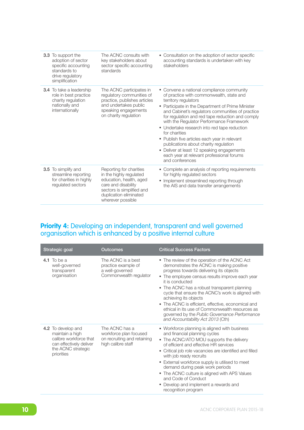| <b>3.3</b> To support the<br>adoption of sector<br>specific accounting<br>standards to<br>drive regulatory<br>simplification | The ACNC consults with<br>key stakeholders about<br>sector specific accounting<br>standards                                                                                      | • Consultation on the adoption of sector specific<br>accounting standards is undertaken with key<br>stakeholders                                                                                                                                                                                                                                                                                                                                                                                                                                                                              |
|------------------------------------------------------------------------------------------------------------------------------|----------------------------------------------------------------------------------------------------------------------------------------------------------------------------------|-----------------------------------------------------------------------------------------------------------------------------------------------------------------------------------------------------------------------------------------------------------------------------------------------------------------------------------------------------------------------------------------------------------------------------------------------------------------------------------------------------------------------------------------------------------------------------------------------|
| <b>3.4</b> To take a leadership<br>role in best practice<br>charity regulation<br>nationally and<br>internationally          | The ACNC participates in<br>regulatory communities of<br>practice, publishes articles<br>and undertakes public<br>speaking engagements<br>on charity regulation                  | • Convene a national compliance community<br>of practice with commonwealth, state and<br>territory regulators<br>• Participate in the Department of Prime Minister<br>and Cabinet's regulators communities of practice<br>for regulation and red tape reduction and comply<br>with the Regulator Performance Framework<br>• Undertake research into red tape reduction<br>for charities<br>• Publish five articles each year in relevant<br>publications about charity regulation<br>Deliver at least 12 speaking engagements<br>each year at relevant professional forums<br>and conferences |
| 3.5 To simplify and<br>streamline reporting<br>for charities in highly<br>regulated sectors                                  | Reporting for charities<br>in the highly regulated<br>education, health, aged<br>care and disability<br>sectors is simplified and<br>duplication eliminated<br>wherever possible | • Complete an analysis of reporting requirements<br>for highly regulated sectors<br>• Implement streamlined reporting through<br>the AIS and data transfer arrangements                                                                                                                                                                                                                                                                                                                                                                                                                       |

### **Priority 4:** Developing an independent, transparent and well governed organisation which is enhanced by a positive internal culture

| Strategic goal                                                                                                                 | Outcomes                                                                                      | <b>Critical Success Factors</b>                                                                                                                                                                                                                                                                                                                                                                                                                                                                                                         |
|--------------------------------------------------------------------------------------------------------------------------------|-----------------------------------------------------------------------------------------------|-----------------------------------------------------------------------------------------------------------------------------------------------------------------------------------------------------------------------------------------------------------------------------------------------------------------------------------------------------------------------------------------------------------------------------------------------------------------------------------------------------------------------------------------|
| 4.1 To be a<br>well-governed<br>transparent<br>organisation                                                                    | The ACNC is a best<br>practice example of<br>a well-governed<br>Commonwealth regulator        | • The review of the operation of the ACNC Act<br>demonstrates the ACNC is making positive<br>progress towards delivering its objects<br>• The employee census results improve each year<br>it is conducted<br>• The ACNC has a robust transparent planning<br>cycle that ensure the ACNC's work is aligned with<br>achieving its objects<br>• The ACNC is efficient, effective, economical and<br>ethical in its use of Commonwealth resources as<br>governed by the Public Governance Performance<br>and Accountability Act 2013 (Cth) |
| 4.2 To develop and<br>maintain a high<br>calibre workforce that<br>can effectively deliver<br>the ACNC strategic<br>priorities | The ACNC has a<br>workforce plan focused<br>on recruiting and retaining<br>high calibre staff | • Workforce planning is aligned with business<br>and financial planning cycles<br>• The ACNC/ATO MOU supports the delivery<br>of efficient and effective HR services<br>• Critical job role vacancies are identified and filled<br>with job ready recruits<br>• External workforce supply is utilised to meet<br>demand during peak work periods<br>• The ACNC culture is aligned with APS Values<br>and Code of Conduct<br>Develop and implement a rewards and<br>۰<br>recognition program                                             |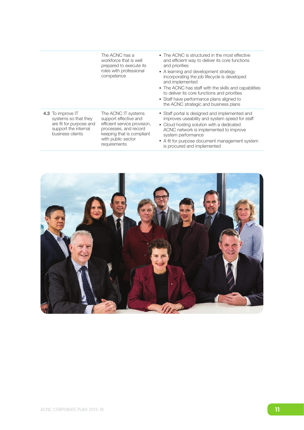|                                                                                                                  | The ACNC has a<br>workforce that is well<br>prepared to execute its<br>roles with professional<br>competence                                                             | • The ACNC is structured in the most effective<br>and efficient way to deliver its core functions<br>and priorities<br>• A learning and development strategy<br>incorporating the job lifecycle is developed<br>and implemented<br>• The ACNC has staff with the skills and capabilities<br>to deliver its core functions and priorities<br>• Staff have performance plans aligned to<br>the ACNC strategic and business plans |
|------------------------------------------------------------------------------------------------------------------|--------------------------------------------------------------------------------------------------------------------------------------------------------------------------|--------------------------------------------------------------------------------------------------------------------------------------------------------------------------------------------------------------------------------------------------------------------------------------------------------------------------------------------------------------------------------------------------------------------------------|
| 4.3 To improve IT<br>systems so that they<br>are fit for purpose and<br>support the internal<br>business clients | The ACNC IT systems<br>support effective and<br>efficient service provision,<br>processes, and record<br>keeping that is compliant<br>with public sector<br>requirements | • Staff portal is designed and implemented and<br>improves useability and system speed for staff<br>• Cloud hosting solution with a dedicated<br>ACNC network is implemented to improve<br>system performance<br>• A fit for purpose document management system<br>is procured and implemented                                                                                                                                 |

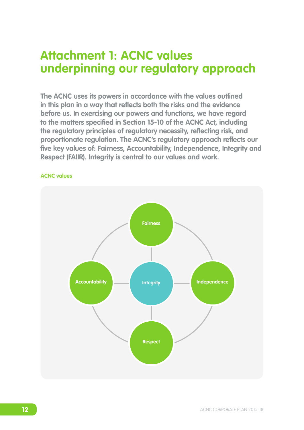# **Attachment 1: ACNC values underpinning our regulatory approach**

**The ACNC uses its powers in accordance with the values outlined in this plan in a way that reflects both the risks and the evidence before us. In exercising our powers and functions, we have regard to the matters specified in Section 15-10 of the ACNC Act, including the regulatory principles of regulatory necessity, reflecting risk, and proportionate regulation. The ACNC's regulatory approach reflects our five key values of: Fairness, Accountability, Independence, Integrity and Respect (FAIIR). Integrity is central to our values and work.** 



### **ACNC values**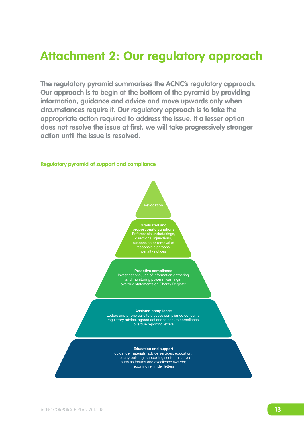# **Attachment 2: Our regulatory approach**

**The regulatory pyramid summarises the ACNC's regulatory approach. Our approach is to begin at the bottom of the pyramid by providing information, guidance and advice and move upwards only when circumstances require it. Our regulatory approach is to take the appropriate action required to address the issue. If a lesser option does not resolve the issue at first, we will take progressively stronger action until the issue is resolved.**



#### **Regulatory pyramid of support and compliance**